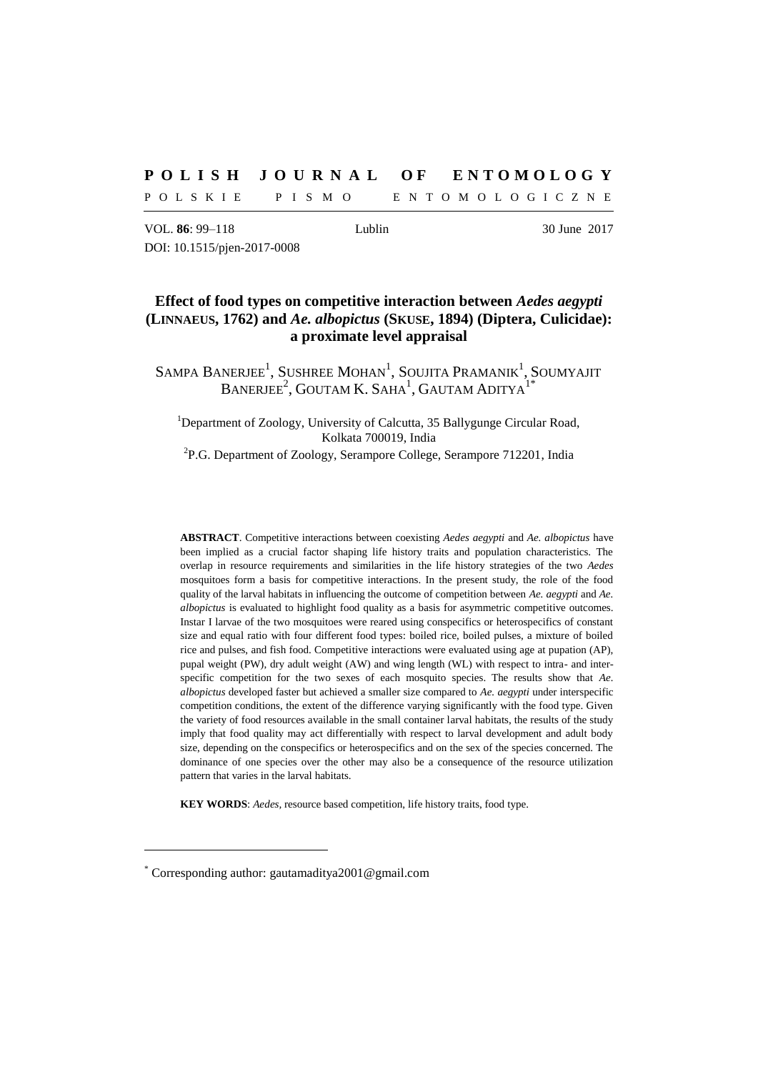# **P O L I S H J O U R N A L O F E N T O M O L O G Y**

P O L S K I E P I S M O E N T O M O L O G I C Z N E

VOL. **86**: 99–118 Lublin 30 June 2017 DOI: 10.1515/pjen-2017-0008

# **Effect of food types on competitive interaction between** *Aedes aegypti* **(LINNAEUS, 1762) and** *Ae. albopictus* **(SKUSE, 1894) (Diptera, Culicidae): a proximate level appraisal**

SAMPA BANERJEE $^1$ , Sushree Mohan $^1$ , Soujita Pramanik $^1$ , Soumyajit  $\mathrm{B}$ anerjee $^2$ , Goutam K. Saha $^1$ , Gautam Aditya $^{1^*}$ 

<sup>1</sup>Department of Zoology, University of Calcutta, 35 Ballygunge Circular Road, Kolkata 700019, India

<sup>2</sup>P.G. Department of Zoology, Serampore College, Serampore 712201, India

**ABSTRACT**. Competitive interactions between coexisting *Aedes aegypti* and *Ae. albopictus* have been implied as a crucial factor shaping life history traits and population characteristics. The overlap in resource requirements and similarities in the life history strategies of the two *Aedes* mosquitoes form a basis for competitive interactions. In the present study, the role of the food quality of the larval habitats in influencing the outcome of competition between *Ae. aegypti* and *Ae. albopictus* is evaluated to highlight food quality as a basis for asymmetric competitive outcomes. Instar I larvae of the two mosquitoes were reared using conspecifics or heterospecifics of constant size and equal ratio with four different food types: boiled rice, boiled pulses, a mixture of boiled rice and pulses, and fish food. Competitive interactions were evaluated using age at pupation (AP), pupal weight (PW), dry adult weight (AW) and wing length (WL) with respect to intra- and interspecific competition for the two sexes of each mosquito species. The results show that *Ae. albopictus* developed faster but achieved a smaller size compared to *Ae. aegypti* under interspecific competition conditions, the extent of the difference varying significantly with the food type. Given the variety of food resources available in the small container larval habitats, the results of the study imply that food quality may act differentially with respect to larval development and adult body size, depending on the conspecifics or heterospecifics and on the sex of the species concerned. The dominance of one species over the other may also be a consequence of the resource utilization pattern that varies in the larval habitats.

**KEY WORDS**: *Aedes,* resource based competition, life history traits, food type.

<sup>\*</sup> Corresponding author: gautamaditya2001@gmail.com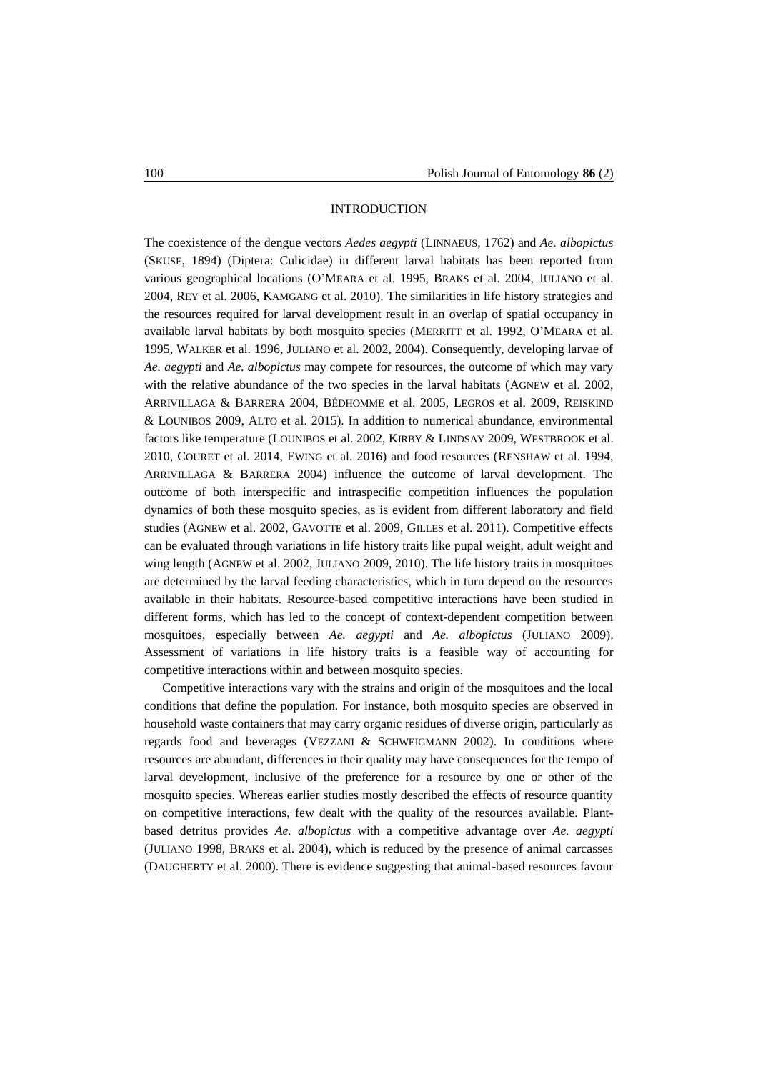## INTRODUCTION

The coexistence of the dengue vectors *Aedes aegypti* (LINNAEUS, 1762) and *Ae. albopictus* (SKUSE, 1894) (Diptera: Culicidae) in different larval habitats has been reported from various geographical locations (O'MEARA et al. 1995, BRAKS et al. 2004, JULIANO et al. 2004, REY et al. 2006, KAMGANG et al. 2010). The similarities in life history strategies and the resources required for larval development result in an overlap of spatial occupancy in available larval habitats by both mosquito species (MERRITT et al. 1992, O'MEARA et al. 1995, WALKER et al. 1996, JULIANO et al. 2002, 2004). Consequently, developing larvae of *Ae. aegypti* and *Ae. albopictus* may compete for resources, the outcome of which may vary with the relative abundance of the two species in the larval habitats (AGNEW et al. 2002, ARRIVILLAGA & BARRERA 2004, BÉDHOMME et al. 2005, LEGROS et al. 2009, REISKIND & LOUNIBOS 2009, ALTO et al. 2015). In addition to numerical abundance, environmental factors like temperature (LOUNIBOS et al. 2002, KIRBY & LINDSAY 2009, WESTBROOK et al. 2010, COURET et al. 2014, EWING et al. 2016) and food resources (RENSHAW et al. 1994, ARRIVILLAGA & BARRERA 2004) influence the outcome of larval development. The outcome of both interspecific and intraspecific competition influences the population dynamics of both these mosquito species, as is evident from different laboratory and field studies (AGNEW et al. 2002, GAVOTTE et al. 2009, GILLES et al. 2011). Competitive effects can be evaluated through variations in life history traits like pupal weight, adult weight and wing length (AGNEW et al. 2002, JULIANO 2009, 2010). The life history traits in mosquitoes are determined by the larval feeding characteristics, which in turn depend on the resources available in their habitats. Resource-based competitive interactions have been studied in different forms, which has led to the concept of context-dependent competition between mosquitoes, especially between *Ae. aegypti* and *Ae. albopictus* (JULIANO 2009). Assessment of variations in life history traits is a feasible way of accounting for competitive interactions within and between mosquito species.

Competitive interactions vary with the strains and origin of the mosquitoes and the local conditions that define the population. For instance, both mosquito species are observed in household waste containers that may carry organic residues of diverse origin, particularly as regards food and beverages (VEZZANI & SCHWEIGMANN 2002). In conditions where resources are abundant, differences in their quality may have consequences for the tempo of larval development, inclusive of the preference for a resource by one or other of the mosquito species. Whereas earlier studies mostly described the effects of resource quantity on competitive interactions, few dealt with the quality of the resources available. Plantbased detritus provides *Ae. albopictus* with a competitive advantage over *Ae. aegypti* (JULIANO 1998, BRAKS et al. 2004), which is reduced by the presence of animal carcasses (DAUGHERTY et al. 2000). There is evidence suggesting that animal-based resources favour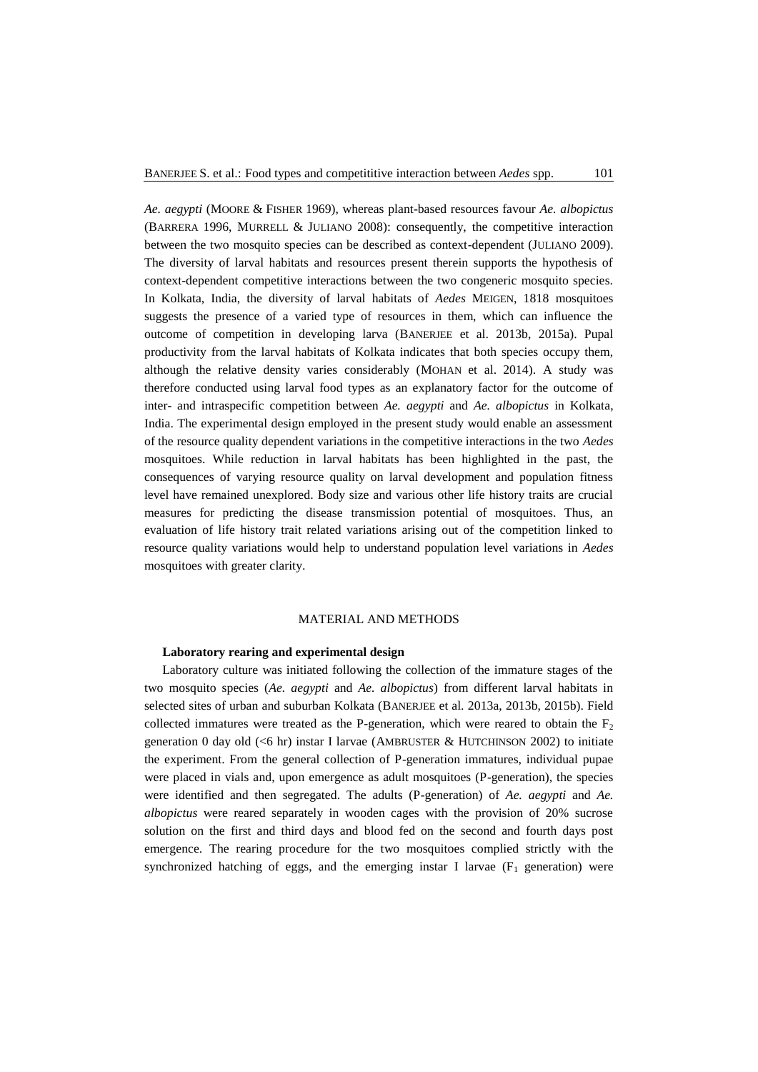*Ae. aegypti* (MOORE & FISHER 1969), whereas plant-based resources favour *Ae. albopictus* (BARRERA 1996, MURRELL & JULIANO 2008): consequently, the competitive interaction between the two mosquito species can be described as context-dependent (JULIANO 2009). The diversity of larval habitats and resources present therein supports the hypothesis of context-dependent competitive interactions between the two congeneric mosquito species. In Kolkata, India, the diversity of larval habitats of *Aedes* MEIGEN, 1818 mosquitoes suggests the presence of a varied type of resources in them, which can influence the outcome of competition in developing larva (BANERJEE et al. 2013b, 2015a). Pupal productivity from the larval habitats of Kolkata indicates that both species occupy them, although the relative density varies considerably (MOHAN et al. 2014). A study was therefore conducted using larval food types as an explanatory factor for the outcome of inter- and intraspecific competition between *Ae. aegypti* and *Ae. albopictus* in Kolkata, India. The experimental design employed in the present study would enable an assessment of the resource quality dependent variations in the competitive interactions in the two *Aedes*  mosquitoes. While reduction in larval habitats has been highlighted in the past, the consequences of varying resource quality on larval development and population fitness level have remained unexplored. Body size and various other life history traits are crucial measures for predicting the disease transmission potential of mosquitoes. Thus, an evaluation of life history trait related variations arising out of the competition linked to resource quality variations would help to understand population level variations in *Aedes*  mosquitoes with greater clarity.

# MATERIAL AND METHODS

#### **Laboratory rearing and experimental design**

Laboratory culture was initiated following the collection of the immature stages of the two mosquito species (*Ae. aegypti* and *Ae. albopictus*) from different larval habitats in selected sites of urban and suburban Kolkata (BANERJEE et al. 2013a, 2013b, 2015b). Field collected immatures were treated as the P-generation, which were reared to obtain the  $F_2$ generation 0 day old  $( $6 \text{ hr}$ ) instar I larvae (AMBRUSTER & HUTCHINSON 2002) to initiate$ the experiment. From the general collection of P-generation immatures, individual pupae were placed in vials and, upon emergence as adult mosquitoes (P-generation), the species were identified and then segregated. The adults (P-generation) of *Ae. aegypti* and *Ae. albopictus* were reared separately in wooden cages with the provision of 20% sucrose solution on the first and third days and blood fed on the second and fourth days post emergence. The rearing procedure for the two mosquitoes complied strictly with the synchronized hatching of eggs, and the emerging instar I larvae  $(F_1 \text{ generation})$  were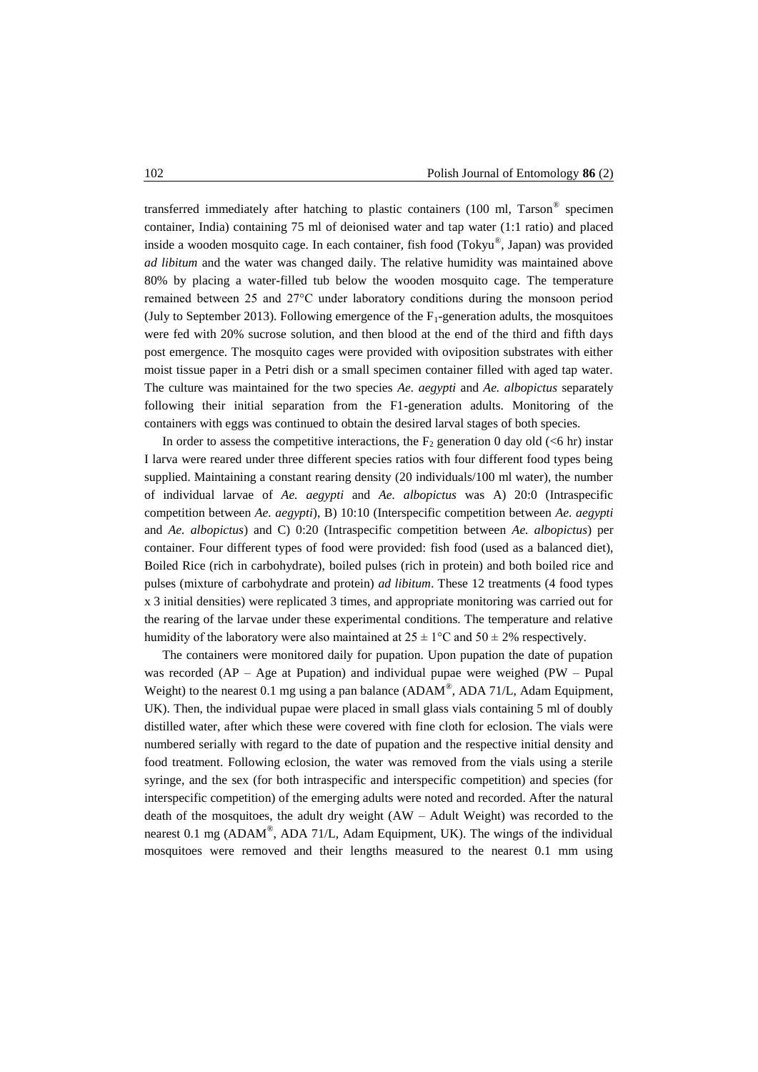transferred immediately after hatching to plastic containers (100 ml, Tarson® specimen container, India) containing 75 ml of deionised water and tap water (1:1 ratio) and placed inside a wooden mosquito cage. In each container, fish food (Tokyu® , Japan) was provided *ad libitum* and the water was changed daily. The relative humidity was maintained above 80% by placing a water-filled tub below the wooden mosquito cage. The temperature remained between 25 and 27°C under laboratory conditions during the monsoon period (July to September 2013). Following emergence of the  $F_1$ -generation adults, the mosquitoes were fed with 20% sucrose solution, and then blood at the end of the third and fifth days post emergence. The mosquito cages were provided with oviposition substrates with either moist tissue paper in a Petri dish or a small specimen container filled with aged tap water. The culture was maintained for the two species *Ae. aegypti* and *Ae. albopictus* separately following their initial separation from the F1-generation adults. Monitoring of the containers with eggs was continued to obtain the desired larval stages of both species.

In order to assess the competitive interactions, the  $F_2$  generation 0 day old (<6 hr) instar I larva were reared under three different species ratios with four different food types being supplied. Maintaining a constant rearing density (20 individuals/100 ml water), the number of individual larvae of *Ae. aegypti* and *Ae. albopictus* was A) 20:0 (Intraspecific competition between *Ae. aegypti*), B) 10:10 (Interspecific competition between *Ae. aegypti* and *Ae. albopictus*) and C) 0:20 (Intraspecific competition between *Ae. albopictus*) per container. Four different types of food were provided: fish food (used as a balanced diet), Boiled Rice (rich in carbohydrate), boiled pulses (rich in protein) and both boiled rice and pulses (mixture of carbohydrate and protein) *ad libitum*. These 12 treatments (4 food types x 3 initial densities) were replicated 3 times, and appropriate monitoring was carried out for the rearing of the larvae under these experimental conditions. The temperature and relative humidity of the laboratory were also maintained at  $25 \pm 1$ °C and  $50 \pm 2$ % respectively.

The containers were monitored daily for pupation. Upon pupation the date of pupation was recorded (AP – Age at Pupation) and individual pupae were weighed (PW – Pupal Weight) to the nearest 0.1 mg using a pan balance  $(ADAM^{\circledast}, ADA 71/L, Adam\, Equation)$ UK). Then, the individual pupae were placed in small glass vials containing 5 ml of doubly distilled water, after which these were covered with fine cloth for eclosion. The vials were numbered serially with regard to the date of pupation and the respective initial density and food treatment. Following eclosion, the water was removed from the vials using a sterile syringe, and the sex (for both intraspecific and interspecific competition) and species (for interspecific competition) of the emerging adults were noted and recorded. After the natural death of the mosquitoes, the adult dry weight (AW – Adult Weight) was recorded to the nearest 0.1 mg (ADAM<sup>®</sup>, ADA 71/L, Adam Equipment, UK). The wings of the individual mosquitoes were removed and their lengths measured to the nearest 0.1 mm using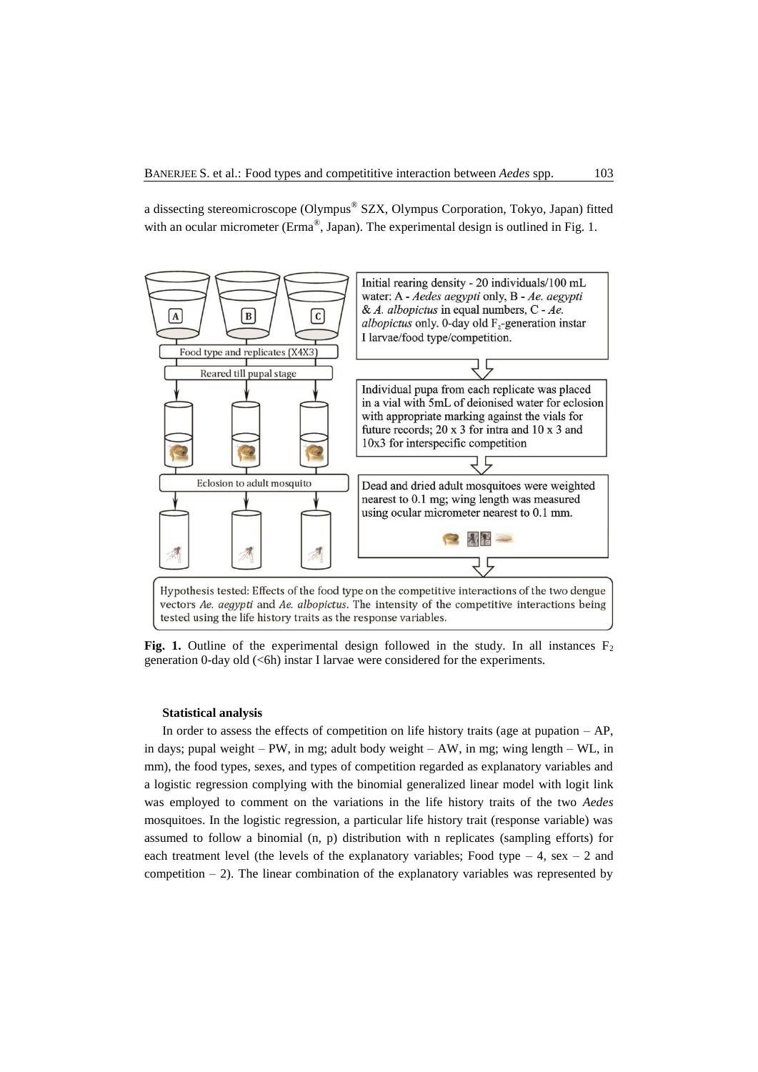a dissecting stereomicroscope (Olympus® SZX, Olympus Corporation, Tokyo, Japan) fitted with an ocular micrometer (Erma®, Japan). The experimental design is outlined in Fig. 1.



Fig. 1. Outline of the experimental design followed in the study. In all instances  $F_2$ generation 0-day old (<6h) instar I larvae were considered for the experiments.

#### **Statistical analysis**

In order to assess the effects of competition on life history traits (age at pupation  $- AP$ , in days; pupal weight – PW, in mg; adult body weight – AW, in mg; wing length – WL, in mm), the food types, sexes, and types of competition regarded as explanatory variables and a logistic regression complying with the binomial generalized linear model with logit link was employed to comment on the variations in the life history traits of the two *Aedes* mosquitoes. In the logistic regression, a particular life history trait (response variable) was assumed to follow a binomial (n, p) distribution with n replicates (sampling efforts) for each treatment level (the levels of the explanatory variables; Food type  $-4$ , sex  $-2$  and competition  $-2$ ). The linear combination of the explanatory variables was represented by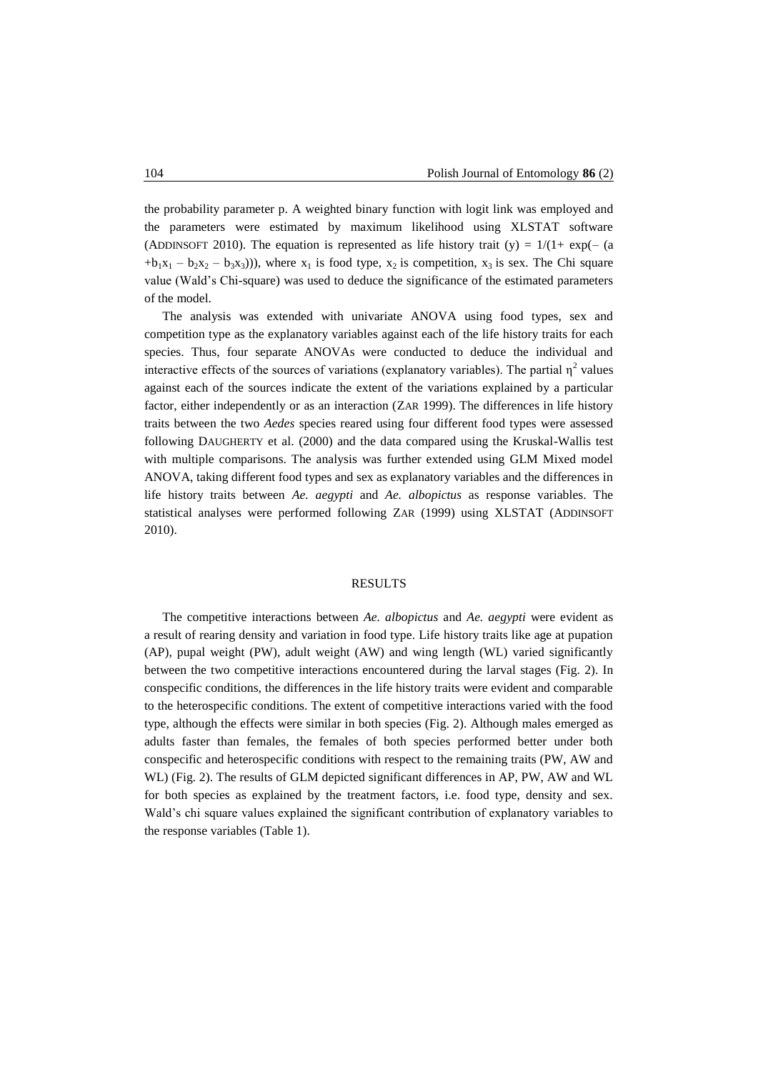the probability parameter p. A weighted binary function with logit link was employed and the parameters were estimated by maximum likelihood using XLSTAT software (ADDINSOFT 2010). The equation is represented as life history trait (y) =  $1/(1+\exp(-\tan^{-1}\theta))$  $+b_1x_1 - b_2x_2 - b_3x_3$ )), where  $x_1$  is food type,  $x_2$  is competition,  $x_3$  is sex. The Chi square value (Wald's Chi-square) was used to deduce the significance of the estimated parameters of the model.

The analysis was extended with univariate ANOVA using food types, sex and competition type as the explanatory variables against each of the life history traits for each species. Thus, four separate ANOVAs were conducted to deduce the individual and interactive effects of the sources of variations (explanatory variables). The partial  $\eta^2$  values against each of the sources indicate the extent of the variations explained by a particular factor, either independently or as an interaction (ZAR 1999). The differences in life history traits between the two *Aedes* species reared using four different food types were assessed following DAUGHERTY et al. (2000) and the data compared using the Kruskal-Wallis test with multiple comparisons. The analysis was further extended using GLM Mixed model ANOVA, taking different food types and sex as explanatory variables and the differences in life history traits between *Ae. aegypti* and *Ae. albopictus* as response variables. The statistical analyses were performed following ZAR (1999) using XLSTAT (ADDINSOFT 2010).

#### RESULTS

The competitive interactions between *Ae. albopictus* and *Ae. aegypti* were evident as a result of rearing density and variation in food type. Life history traits like age at pupation (AP), pupal weight (PW), adult weight (AW) and wing length (WL) varied significantly between the two competitive interactions encountered during the larval stages (Fig. 2). In conspecific conditions, the differences in the life history traits were evident and comparable to the heterospecific conditions. The extent of competitive interactions varied with the food type, although the effects were similar in both species (Fig. 2). Although males emerged as adults faster than females, the females of both species performed better under both conspecific and heterospecific conditions with respect to the remaining traits (PW, AW and WL) (Fig. 2). The results of GLM depicted significant differences in AP, PW, AW and WL for both species as explained by the treatment factors, i.e. food type, density and sex. Wald's chi square values explained the significant contribution of explanatory variables to the response variables (Table 1).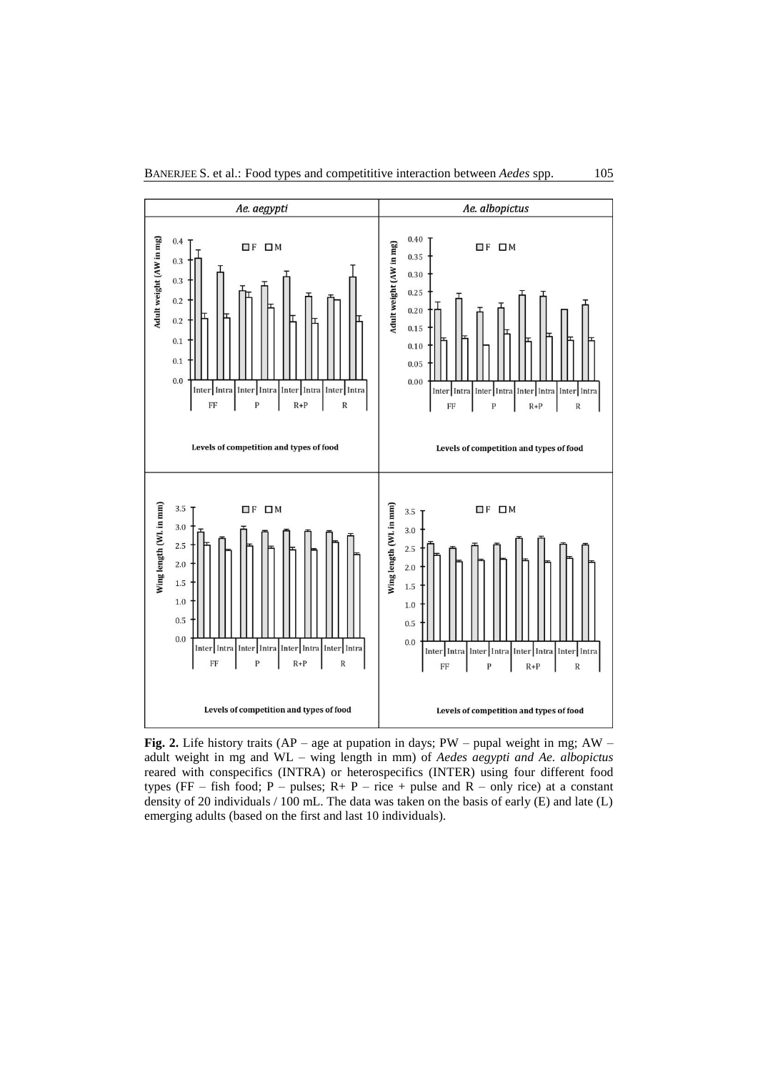

**Fig. 2.** Life history traits (AP – age at pupation in days; PW – pupal weight in mg; AW – adult weight in mg and WL – wing length in mm) of *Aedes aegypti and Ae. albopictus* reared with conspecifics (INTRA) or heterospecifics (INTER) using four different food types (FF – fish food; P – pulses;  $R + P$  – rice + pulse and R – only rice) at a constant density of 20 individuals / 100 mL. The data was taken on the basis of early (E) and late (L) emerging adults (based on the first and last 10 individuals).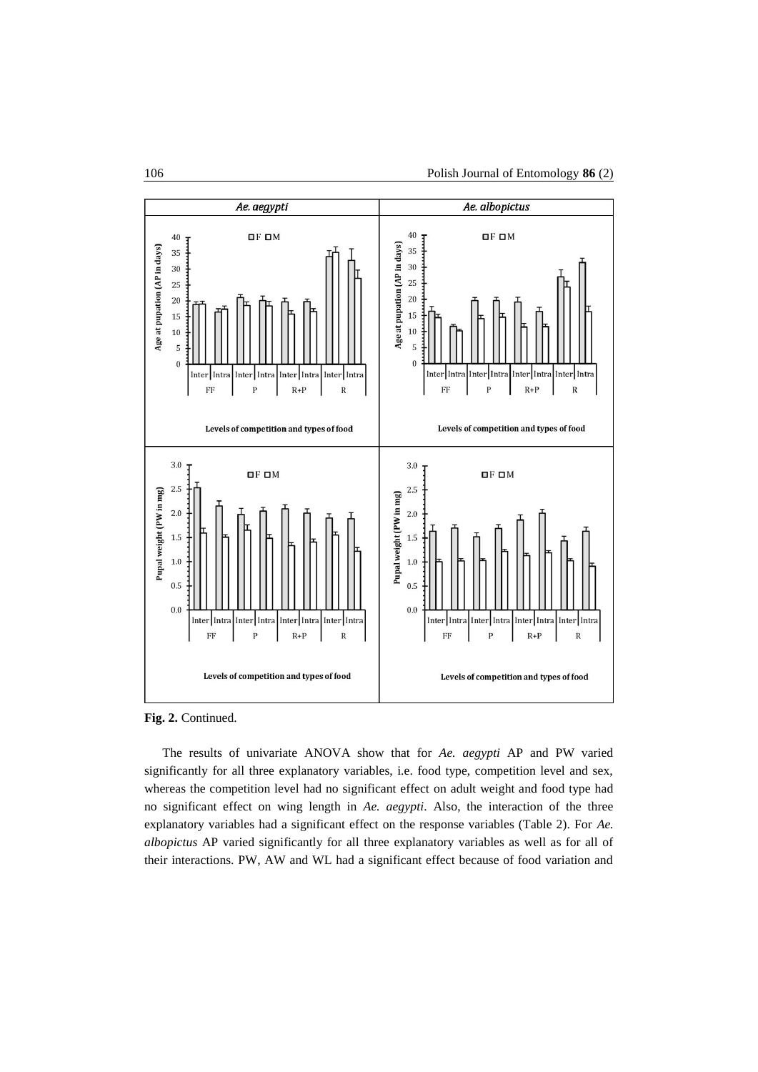

**Fig. 2.** Continued.

The results of univariate ANOVA show that for *Ae. aegypti* AP and PW varied significantly for all three explanatory variables, i.e. food type, competition level and sex, whereas the competition level had no significant effect on adult weight and food type had no significant effect on wing length in *Ae. aegypti*. Also, the interaction of the three explanatory variables had a significant effect on the response variables (Table 2). For *Ae. albopictus* AP varied significantly for all three explanatory variables as well as for all of their interactions. PW, AW and WL had a significant effect because of food variation and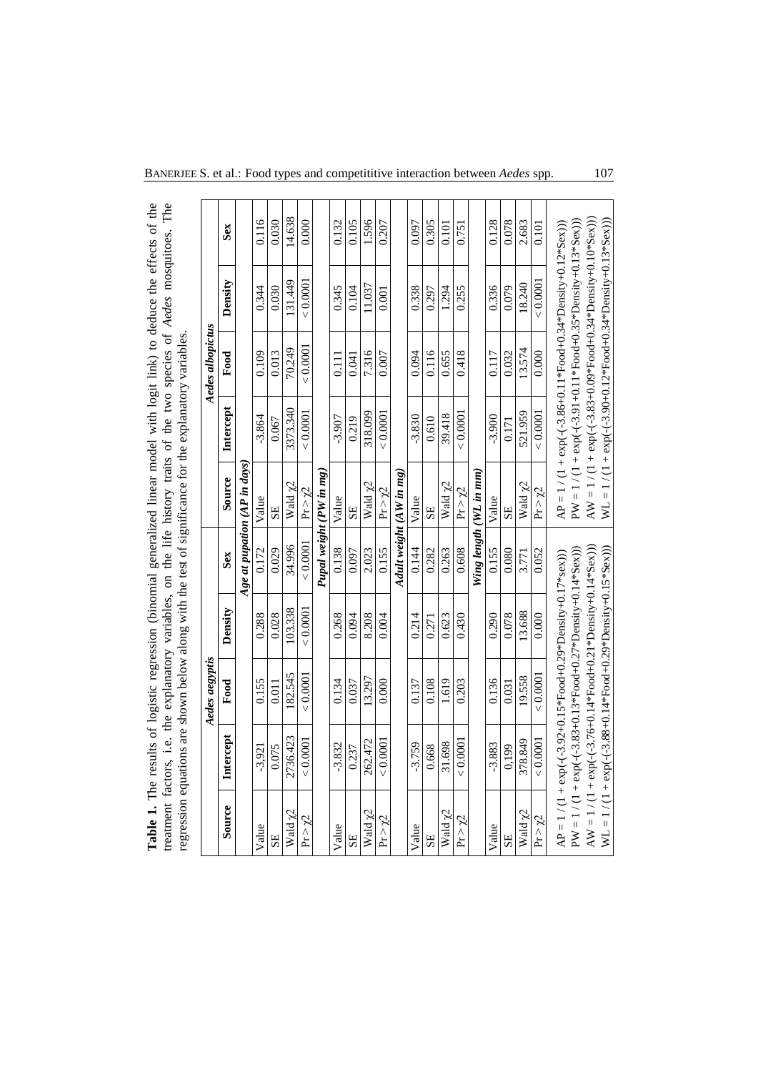| Table 1. The results of logistic regression (binomial generalized linear model with logit link) to deduce the effects of the |                         |
|------------------------------------------------------------------------------------------------------------------------------|-------------------------|
| treatment factors, i.e. the explanatory variables, on the life history traits of the two species of Aedes mosquitoes. The    |                         |
| regression equations are shown below along with the test of significance for the explanatory variables.                      |                         |
| <b>Aedes aegyptis</b>                                                                                                        | <b>Aedes albopictus</b> |

|               |                                                                           | Aedes aegyptis |          |                         |                              |           | Aedes albopictus |                                                                     |        |
|---------------|---------------------------------------------------------------------------|----------------|----------|-------------------------|------------------------------|-----------|------------------|---------------------------------------------------------------------|--------|
| Source        | Intercept                                                                 | Food           | Density  | Sex                     | Source                       | Intercept | Food             | Density                                                             | Sex    |
|               |                                                                           |                |          |                         | Age at pupation (AP in days) |           |                  |                                                                     |        |
| Value         | $-3,921$                                                                  | 0.155          | 0.288    | 0.172                   | Value                        | $-3.864$  | 0.109            | 0.344                                                               | 0.116  |
| SE            | 0.075                                                                     | 0.011          | 0.028    | 0.029                   | SE                           | 0.067     | 0.013            | 0.030                                                               | 0.030  |
| Wald y2       | 2736.423                                                                  | 182.545        | 103.338  | 34.996                  | Wald y2                      | 3373.340  | 70.249           | 131.449                                                             | 14.638 |
| $Pr > \chi^2$ | < 0.0001                                                                  | < 0.0001       | < 0.0001 | < 0.0001                | $Pr > \gamma2$               | < 0.0001  | < 0.0001         | < 0.0001                                                            | 0.000  |
|               |                                                                           |                |          |                         | Pupal weight (PW in mg)      |           |                  |                                                                     |        |
| Value         | $-3.832$                                                                  | 0.134          | 0.268    | 0.138                   | Value                        | $-3.907$  | 0.111            | 0.345                                                               | 0.132  |
| SE            | 0.237                                                                     | 0.037          | 0.094    | 0.097                   | SE                           | 0.219     | 0.041            | 0.104                                                               | 0.105  |
| Wald y2       | 262.472                                                                   | 13.297         | 8.208    | 2.023                   | Wald y2                      | 318.099   | 7.316            | 11.037                                                              | 1.596  |
| $Pr > \chi^2$ | < 0.0001                                                                  | 0.000          | 0.004    | 0.155                   | $Pr > \gamma2$               | < 0.0001  | 0.007            | 0.001                                                               | 0.207  |
|               |                                                                           |                |          | Adult weight (AW in mg) |                              |           |                  |                                                                     |        |
| Value         | $-3.759$                                                                  | 0.137          | 0.214    | 0.144                   | Value                        | $-3.830$  | 0.094            | 0.338                                                               | 0.097  |
| SE            | 0.668                                                                     | 0.108          | 0.271    | 0.282                   | SE                           | 0.610     | 0.116            | 0.297                                                               | 0.305  |
| Wald $\chi$ 2 | 31.698                                                                    | 1.619          | 0.623    | 0.263                   | Wald y2                      | 39.418    | 0.655            | 1.294                                                               | 0.101  |
| $Pr > \chi^2$ | < 0.0001                                                                  | 0.203          | 0.430    | 0.608                   | $Pr > \gamma2$               | < 0.0001  | 0.418            | 0.255                                                               | 0.751  |
|               |                                                                           |                |          |                         | Wing length (WL in mm)       |           |                  |                                                                     |        |
| Value         | $-3.883$                                                                  | 0.136          | 0.290    | 0.155                   | Value                        | $-3.900$  | 0.117            | 0.336                                                               | 0.128  |
| SE            | 0.199                                                                     | 0.031          | 0.078    | 0.080                   | 5E                           | 0.171     | 0.032            | 0.079                                                               | 0.078  |
| Wald $\chi$ 2 | 378.849                                                                   | 19.558         | 13.688   | 3.771                   | Wald y2                      | 521.959   | 13.574           | 18.240                                                              | 2.683  |
| $Pr > \chi^2$ | < 0.0001                                                                  | < 0.0001       | 0.000    | 0.052                   | Pr > γ2                      | < 0.0001  | 0.000            | < 0.0001                                                            | 0.101  |
|               | $AP = 1 / (1 + exp(-(3.92+0.15*Food+0.29*Density+0.17*sex)))$             |                |          |                         |                              |           |                  | $AP = 1 / (1 + exp(-(3.86 + 0.11*Food + 0.34*Density + 0.12*Sex)))$ |        |
|               | $PW = 1 / (1 + exp(-(3.83 + 0.13 * Food + 0.27 * Density + 0.14 * Sex)))$ |                |          |                         |                              |           |                  | $PW = 1 / (1 + exp(-(-3.91+0.11*Food+0.35*Density+0.13*Sex)))$      |        |
|               | $AV = 1 / (1 + exp(-(3.76+0.14*Food+0.21*Density+0.14*Sex)))$             |                |          |                         |                              |           |                  | AW = $1/(1 + \exp(-(3.83+0.09*Food+0.34*Density+0.10*Sex)))$        |        |
|               | $WL = 1 / (1 + exp(-(3.88 + 0.14 * Food + 0.29 * Density + 0.15 * Sex))$  |                |          |                         |                              |           |                  | $WL = 1 / (1 + exp(-(3.90+0.12*Food+0.34*Density+0.13*Sex)))$       |        |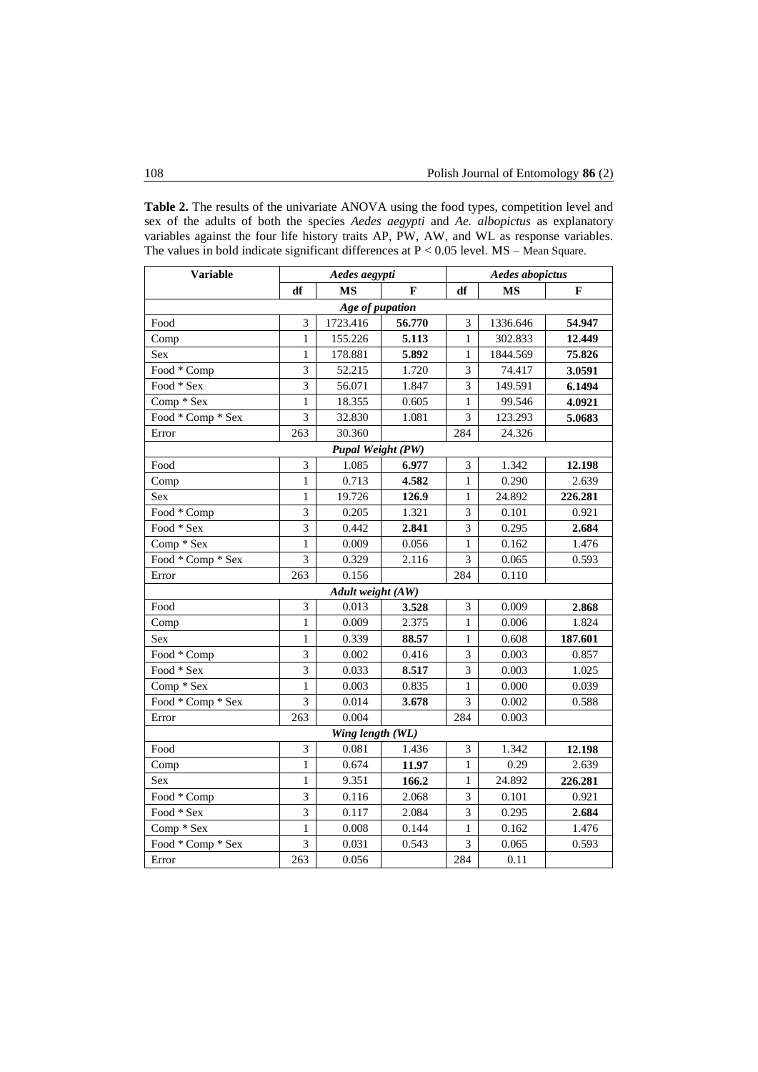**Table 2.** The results of the univariate ANOVA using the food types, competition level and sex of the adults of both the species *Aedes aegypti* and *Ae. albopictus* as explanatory variables against the four life history traits AP, PW, AW, and WL as response variables. The values in bold indicate significant differences at P < 0.05 level. MS – Mean Square.

| <b>Variable</b>   | Aedes aegypti  |                          |        | <b>Aedes abopictus</b> |           |         |  |  |  |
|-------------------|----------------|--------------------------|--------|------------------------|-----------|---------|--|--|--|
|                   | df             | <b>MS</b>                | F      | df                     | <b>MS</b> | F       |  |  |  |
| Age of pupation   |                |                          |        |                        |           |         |  |  |  |
| Food              | 3              | 1723.416                 | 56.770 | 3                      | 1336.646  | 54.947  |  |  |  |
| Comp              | $\mathbf{1}$   | 155.226                  | 5.113  | $\mathbf{1}$           | 302.833   | 12.449  |  |  |  |
| Sex               | $\mathbf{1}$   | 178.881                  | 5.892  | $\mathbf{1}$           | 1844.569  | 75.826  |  |  |  |
| Food * Comp       | $\overline{3}$ | 52.215                   | 1.720  | 3                      | 74.417    | 3.0591  |  |  |  |
| Food * Sex        | $\overline{3}$ | 56.071                   | 1.847  | 3                      | 149.591   | 6.1494  |  |  |  |
| Comp * Sex        | $\mathbf{1}$   | 18.355                   | 0.605  | $\mathbf{1}$           | 99.546    | 4.0921  |  |  |  |
| Food * Comp * Sex | 3              | 32.830                   | 1.081  | 3                      | 123.293   | 5.0683  |  |  |  |
| Error             | 263            | 30.360                   |        | 284                    | 24.326    |         |  |  |  |
|                   |                | <b>Pupal Weight (PW)</b> |        |                        |           |         |  |  |  |
| Food              | 3              | 1.085                    | 6.977  | 3                      | 1.342     | 12.198  |  |  |  |
| Comp              | $\mathbf{1}$   | 0.713                    | 4.582  | $\mathbf{1}$           | 0.290     | 2.639   |  |  |  |
| Sex               | $\mathbf{1}$   | 19.726                   | 126.9  | $\mathbf{1}$           | 24.892    | 226.281 |  |  |  |
| Food * Comp       | 3              | 0.205                    | 1.321  | $\overline{3}$         | 0.101     | 0.921   |  |  |  |
| Food * Sex        | 3              | 0.442                    | 2.841  | 3                      | 0.295     | 2.684   |  |  |  |
| Comp * Sex        | $\mathbf{1}$   | 0.009                    | 0.056  | $\mathbf{1}$           | 0.162     | 1.476   |  |  |  |
| Food * Comp * Sex | 3              | 0.329                    | 2.116  | 3                      | 0.065     | 0.593   |  |  |  |
| Error             | 263            | 0.156                    |        | 284                    | 0.110     |         |  |  |  |
| Adult weight (AW) |                |                          |        |                        |           |         |  |  |  |
| Food              | 3              | 0.013                    | 3.528  | 3                      | 0.009     | 2.868   |  |  |  |
| Comp              | $\mathbf{1}$   | 0.009                    | 2.375  | $\mathbf{1}$           | 0.006     | 1.824   |  |  |  |
| Sex               | 1              | 0.339                    | 88.57  | 1                      | 0.608     | 187.601 |  |  |  |
| Food * Comp       | 3              | 0.002                    | 0.416  | 3                      | 0.003     | 0.857   |  |  |  |
| Food * Sex        | $\overline{3}$ | 0.033                    | 8.517  | $\overline{3}$         | 0.003     | 1.025   |  |  |  |
| Comp * Sex        | 1              | 0.003                    | 0.835  | $\mathbf{1}$           | 0.000     | 0.039   |  |  |  |
| Food * Comp * Sex | $\overline{3}$ | 0.014                    | 3.678  | 3                      | 0.002     | 0.588   |  |  |  |
| Error             | 263            | 0.004                    |        | 284                    | 0.003     |         |  |  |  |
| Wing length (WL)  |                |                          |        |                        |           |         |  |  |  |
| Food              | 3              | 0.081                    | 1.436  | 3                      | 1.342     | 12.198  |  |  |  |
| Comp              | $\mathbf{1}$   | 0.674                    | 11.97  | $\mathbf{1}$           | 0.29      | 2.639   |  |  |  |
| Sex               | $\mathbf{1}$   | 9.351                    | 166.2  | $\mathbf{1}$           | 24.892    | 226.281 |  |  |  |
| Food * Comp       | 3              | 0.116                    | 2.068  | 3                      | 0.101     | 0.921   |  |  |  |
| Food * Sex        | 3              | 0.117                    | 2.084  | 3                      | 0.295     | 2.684   |  |  |  |
| Comp * Sex        | $\mathbf{1}$   | 0.008                    | 0.144  | 1                      | 0.162     | 1.476   |  |  |  |
| Food * Comp * Sex | 3              | 0.031                    | 0.543  | 3                      | 0.065     | 0.593   |  |  |  |
| Error             | 263            | 0.056                    |        | 284                    | 0.11      |         |  |  |  |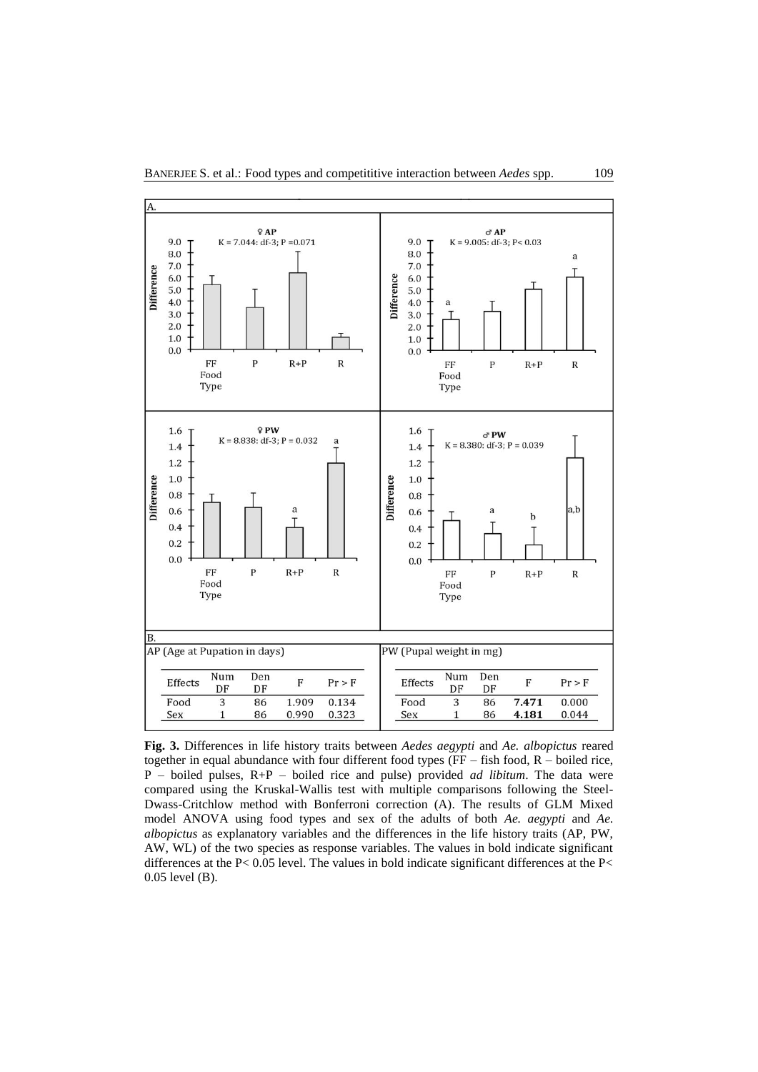

**Fig. 3.** Differences in life history traits between *Aedes aegypti* and *Ae. albopictus* reared together in equal abundance with four different food types (FF – fish food, R – boiled rice, P – boiled pulses, R+P – boiled rice and pulse) provided *ad libitum*. The data were compared using the Kruskal-Wallis test with multiple comparisons following the Steel-Dwass-Critchlow method with Bonferroni correction (A). The results of GLM Mixed model ANOVA using food types and sex of the adults of both *Ae. aegypti* and *Ae. albopictus* as explanatory variables and the differences in the life history traits (AP, PW, AW, WL) of the two species as response variables. The values in bold indicate significant differences at the P< 0.05 level. The values in bold indicate significant differences at the P< 0.05 level (B).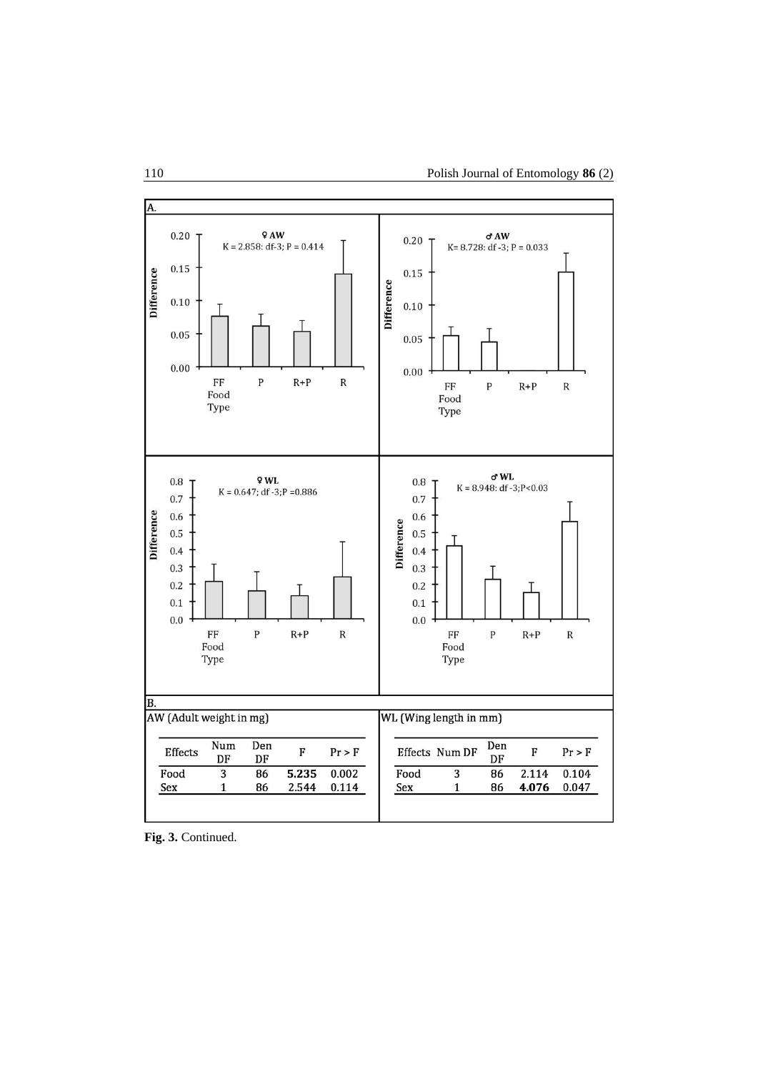

**Fig. 3.** Continued.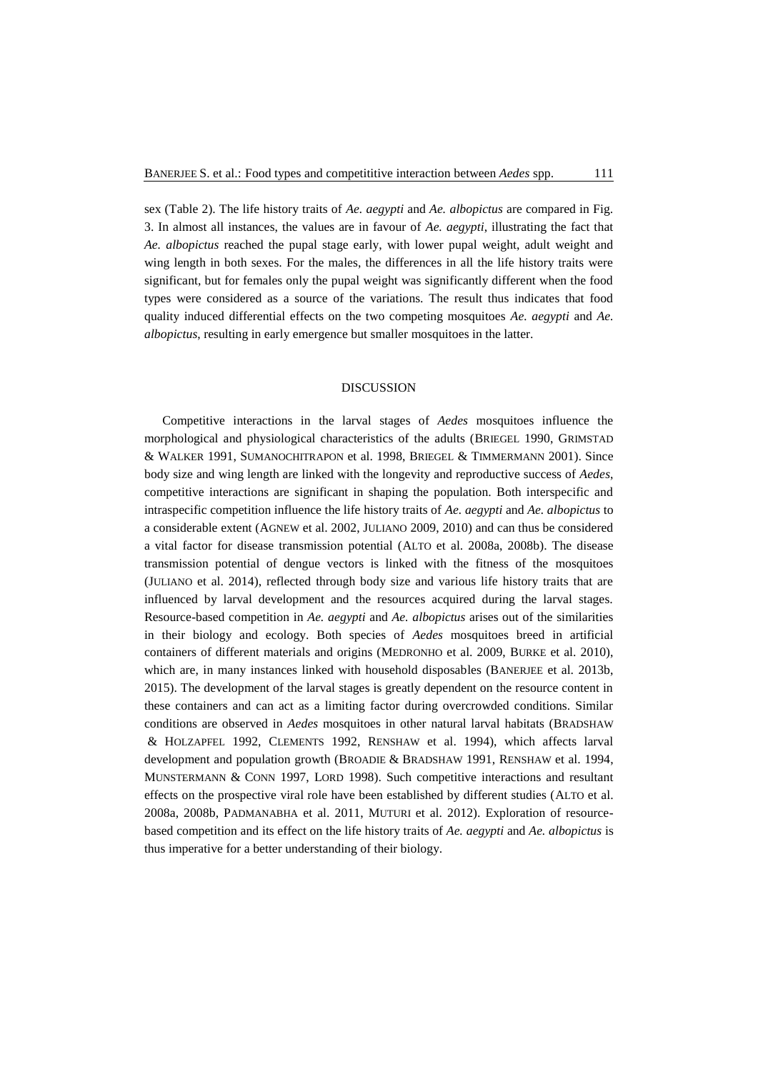sex (Table 2). The life history traits of *Ae. aegypti* and *Ae. albopictus* are compared in Fig. 3. In almost all instances, the values are in favour of *Ae. aegypti*, illustrating the fact that *Ae. albopictus* reached the pupal stage early, with lower pupal weight, adult weight and wing length in both sexes. For the males, the differences in all the life history traits were significant, but for females only the pupal weight was significantly different when the food types were considered as a source of the variations. The result thus indicates that food quality induced differential effects on the two competing mosquitoes *Ae. aegypti* and *Ae. albopictus*, resulting in early emergence but smaller mosquitoes in the latter.

## DISCUSSION

Competitive interactions in the larval stages of *Aedes* mosquitoes influence the morphological and physiological characteristics of the adults (BRIEGEL 1990, GRIMSTAD & WALKER 1991, SUMANOCHITRAPON et al. 1998, BRIEGEL & TIMMERMANN 2001). Since body size and wing length are linked with the longevity and reproductive success of *Aedes*, competitive interactions are significant in shaping the population. Both interspecific and intraspecific competition influence the life history traits of *Ae. aegypti* and *Ae. albopictus* to a considerable extent (AGNEW et al. 2002, JULIANO 2009, 2010) and can thus be considered a vital factor for disease transmission potential (ALTO et al. 2008a, 2008b). The disease transmission potential of dengue vectors is linked with the fitness of the mosquitoes (JULIANO et al. 2014), reflected through body size and various life history traits that are influenced by larval development and the resources acquired during the larval stages. Resource-based competition in *Ae. aegypti* and *Ae. albopictus* arises out of the similarities in their biology and ecology. Both species of *Aedes* mosquitoes breed in artificial containers of different materials and origins (MEDRONHO et al. 2009, BURKE et al. 2010), which are, in many instances linked with household disposables (BANERJEE et al. 2013b, 2015). The development of the larval stages is greatly dependent on the resource content in these containers and can act as a limiting factor during overcrowded conditions. Similar conditions are observed in *Aedes* mosquitoes in other natural larval habitats (BRADSHAW & HOLZAPFEL 1992, CLEMENTS 1992, RENSHAW et al. 1994), which affects larval development and population growth (BROADIE & BRADSHAW 1991, RENSHAW et al. 1994, MUNSTERMANN & CONN 1997, LORD 1998). Such competitive interactions and resultant effects on the prospective viral role have been established by different studies (ALTO et al. 2008a, 2008b, PADMANABHA et al. 2011, MUTURI et al. 2012). Exploration of resourcebased competition and its effect on the life history traits of *Ae. aegypti* and *Ae. albopictus* is thus imperative for a better understanding of their biology.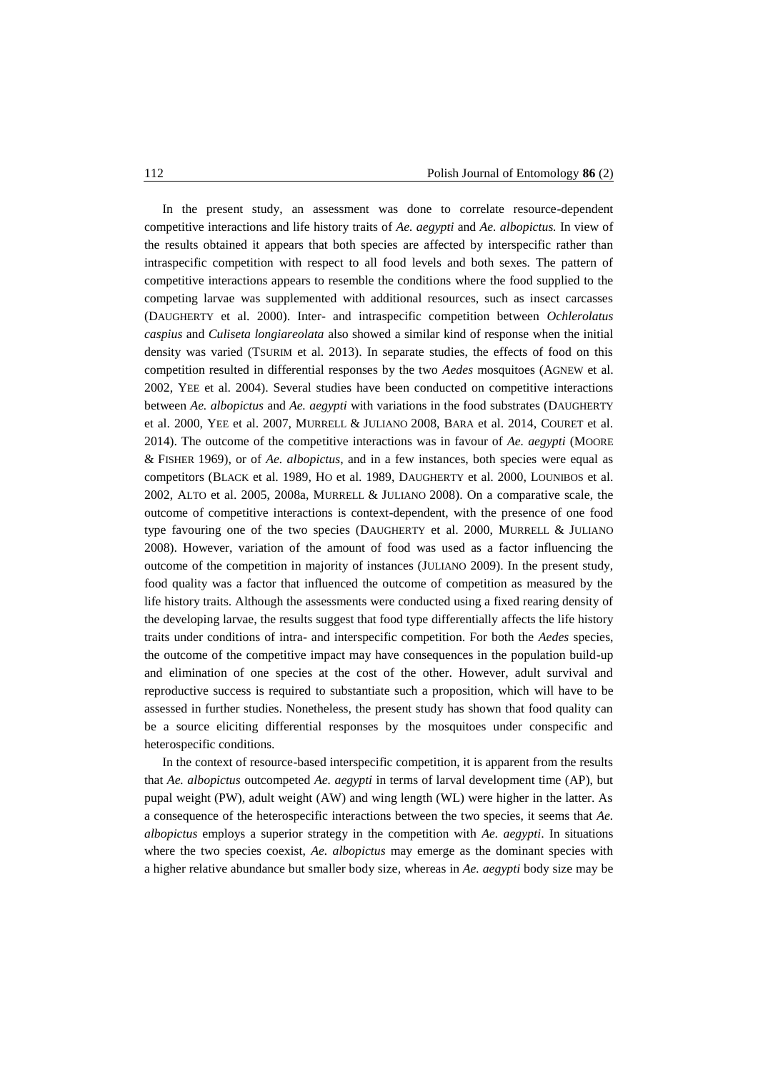In the present study, an assessment was done to correlate resource-dependent competitive interactions and life history traits of *Ae. aegypti* and *Ae. albopictus.* In view of the results obtained it appears that both species are affected by interspecific rather than intraspecific competition with respect to all food levels and both sexes. The pattern of competitive interactions appears to resemble the conditions where the food supplied to the competing larvae was supplemented with additional resources, such as insect carcasses (DAUGHERTY et al. 2000). Inter- and intraspecific competition between *Ochlerolatus caspius* and *Culiseta longiareolata* also showed a similar kind of response when the initial density was varied (TSURIM et al. 2013). In separate studies, the effects of food on this competition resulted in differential responses by the two *Aedes* mosquitoes (AGNEW et al. 2002, YEE et al. 2004). Several studies have been conducted on competitive interactions between *Ae. albopictus* and *Ae. aegypti* with variations in the food substrates (DAUGHERTY et al. 2000, YEE et al. 2007, MURRELL & JULIANO 2008, BARA et al. 2014, COURET et al. 2014). The outcome of the competitive interactions was in favour of *Ae. aegypti* (MOORE & FISHER 1969), or of *Ae. albopictus*, and in a few instances, both species were equal as competitors (BLACK et al. 1989, HO et al. 1989, DAUGHERTY et al. 2000, LOUNIBOS et al. 2002, ALTO et al. 2005, 2008a, MURRELL & JULIANO 2008). On a comparative scale, the outcome of competitive interactions is context-dependent, with the presence of one food type favouring one of the two species (DAUGHERTY et al. 2000, MURRELL & JULIANO 2008). However, variation of the amount of food was used as a factor influencing the outcome of the competition in majority of instances (JULIANO 2009). In the present study, food quality was a factor that influenced the outcome of competition as measured by the life history traits. Although the assessments were conducted using a fixed rearing density of the developing larvae, the results suggest that food type differentially affects the life history traits under conditions of intra- and interspecific competition. For both the *Aedes* species, the outcome of the competitive impact may have consequences in the population build-up and elimination of one species at the cost of the other. However, adult survival and reproductive success is required to substantiate such a proposition, which will have to be assessed in further studies. Nonetheless, the present study has shown that food quality can be a source eliciting differential responses by the mosquitoes under conspecific and heterospecific conditions.

In the context of resource-based interspecific competition, it is apparent from the results that *Ae. albopictus* outcompeted *Ae. aegypti* in terms of larval development time (AP), but pupal weight (PW), adult weight (AW) and wing length (WL) were higher in the latter. As a consequence of the heterospecific interactions between the two species, it seems that *Ae. albopictus* employs a superior strategy in the competition with *Ae. aegypti*. In situations where the two species coexist, *Ae. albopictus* may emerge as the dominant species with a higher relative abundance but smaller body size*,* whereas in *Ae. aegypti* body size may be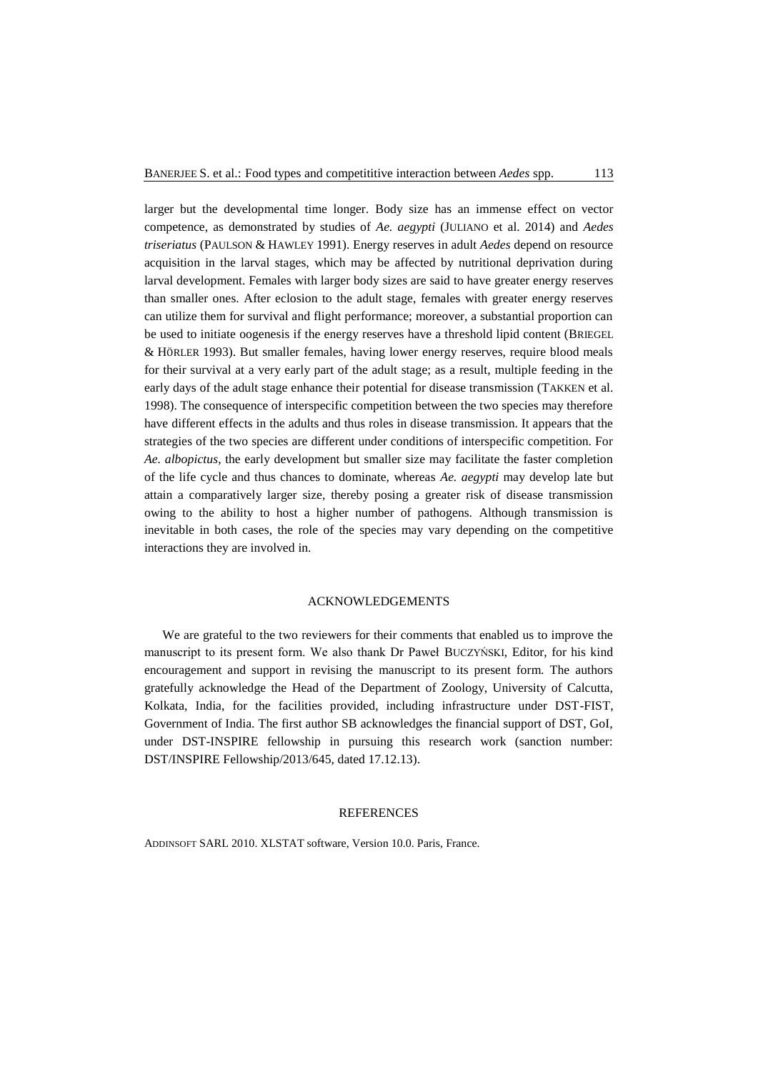larger but the developmental time longer. Body size has an immense effect on vector competence, as demonstrated by studies of *Ae. aegypti* (JULIANO et al. 2014) and *Aedes triseriatus* (PAULSON & HAWLEY 1991). Energy reserves in adult *Aedes* depend on resource acquisition in the larval stages, which may be affected by nutritional deprivation during larval development. Females with larger body sizes are said to have greater energy reserves than smaller ones. After eclosion to the adult stage, females with greater energy reserves can utilize them for survival and flight performance; moreover, a substantial proportion can be used to initiate oogenesis if the energy reserves have a threshold lipid content (BRIEGEL & HӦRLER 1993). But smaller females, having lower energy reserves, require blood meals for their survival at a very early part of the adult stage; as a result, multiple feeding in the early days of the adult stage enhance their potential for disease transmission (TAKKEN et al. 1998). The consequence of interspecific competition between the two species may therefore have different effects in the adults and thus roles in disease transmission. It appears that the strategies of the two species are different under conditions of interspecific competition. For *Ae. albopictus*, the early development but smaller size may facilitate the faster completion of the life cycle and thus chances to dominate, whereas *Ae. aegypti* may develop late but attain a comparatively larger size, thereby posing a greater risk of disease transmission owing to the ability to host a higher number of pathogens. Although transmission is inevitable in both cases, the role of the species may vary depending on the competitive interactions they are involved in.

### ACKNOWLEDGEMENTS

We are grateful to the two reviewers for their comments that enabled us to improve the manuscript to its present form. We also thank Dr Paweł BUCZYŃSKI, Editor, for his kind encouragement and support in revising the manuscript to its present form. The authors gratefully acknowledge the Head of the Department of Zoology, University of Calcutta, Kolkata, India, for the facilities provided, including infrastructure under DST-FIST, Government of India. The first author SB acknowledges the financial support of DST, GoI, under DST-INSPIRE fellowship in pursuing this research work (sanction number: DST/INSPIRE Fellowship/2013/645, dated 17.12.13).

## **REFERENCES**

ADDINSOFT SARL 2010. XLSTAT software, Version 10.0. Paris, France.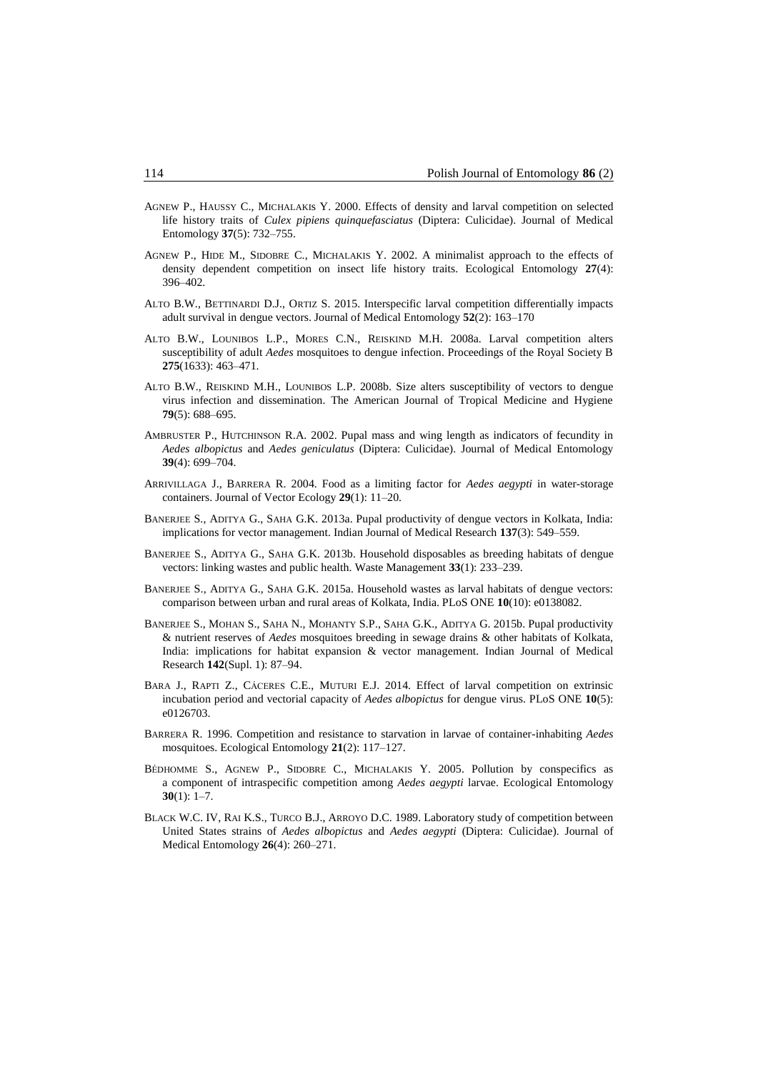- AGNEW P., HAUSSY C., MICHALAKIs Y. 2000. Effects of density and larval competition on selected life history traits of *Culex pipiens quinquefasciatus* (Diptera: Culicidae). Journal of Medical Entomology **37**(5): 732–755.
- AGNEW P., HIDE M., SIDOBRE C., MICHALAKIS Y. 2002. A minimalist approach to the effects of density dependent competition on insect life history traits. Ecological Entomology **27**(4): 396–402.
- ALTO B.W., BETTINARDI D.J., ORTIZ S. 2015. Interspecific larval competition differentially impacts adult survival in dengue vectors. Journal of Medical Entomology **52**(2): 163–170
- ALTO B.W., LOUNIBOS L.P., MORES C.N., REISKIND M.H. 2008a. Larval competition alters susceptibility of adult *Aedes* mosquitoes to dengue infection. Proceedings of the Royal Society B **275**(1633): 463–471.
- ALTO B.W., REISKIND M.H., LOUNIBOS L.P. 2008b. Size alters susceptibility of vectors to dengue virus infection and dissemination. The American Journal of Tropical Medicine and Hygiene **79**(5): 688–695.
- AMBRUSTER P., HUTCHINSON R.A. 2002. Pupal mass and wing length as indicators of fecundity in *Aedes albopictus* and *Aedes geniculatus* (Diptera: Culicidae). Journal of Medical Entomology **39**(4): 699–704.
- ARRIVILLAGA J., BARRERA R. 2004. Food as a limiting factor for *Aedes aegypti* in water-storage containers. Journal of Vector Ecology **29**(1): 11–20.
- BANERJEE S., ADITYA G., SAHA G.K. 2013a. Pupal productivity of dengue vectors in Kolkata, India: implications for vector management. Indian Journal of Medical Research **137**(3): 549–559.
- BANERJEE S., ADITYA G., SAHA G.K. 2013b. Household disposables as breeding habitats of dengue vectors: linking wastes and public health. Waste Management **33**(1): 233–239.
- BANERJEE S., ADITYA G., SAHA G.K. 2015a. Household wastes as larval habitats of dengue vectors: comparison between urban and rural areas of Kolkata, India. PLoS ONE **10**(10): e0138082.
- BANERJEE S., MOHAN S., SAHA N., MOHANTY S.P., SAHA G.K., ADITYA G. 2015b. Pupal productivity & nutrient reserves of *Aedes* mosquitoes breeding in sewage drains & other habitats of Kolkata, India: implications for habitat expansion & vector management. Indian Journal of Medical Research **142**(Supl. 1): 87–94.
- BARA J., RAPTI Z., CÁCERES C.E., MUTURI E.J. 2014. Effect of larval competition on extrinsic incubation period and vectorial capacity of *Aedes albopictus* for dengue virus. PLoS ONE **10**(5): e0126703.
- BARRERA R. 1996. Competition and resistance to starvation in larvae of container-inhabiting *Aedes* mosquitoes. Ecological Entomology **21**(2): 117–127.
- BÉDHOMME S., AGNEW P., SIDOBRE C., MICHALAKIS Y. 2005. Pollution by conspecifics as a component of intraspecific competition among *Aedes aegypti* larvae. Ecological Entomology **30**(1): 1–7.
- BLACK W.C. IV, RAI K.S., TURCO B.J., ARROYO D.C. 1989. Laboratory study of competition between United States strains of *Aedes albopictus* and *Aedes aegypti* (Diptera: Culicidae). Journal of Medical Entomology **26**(4): 260–271.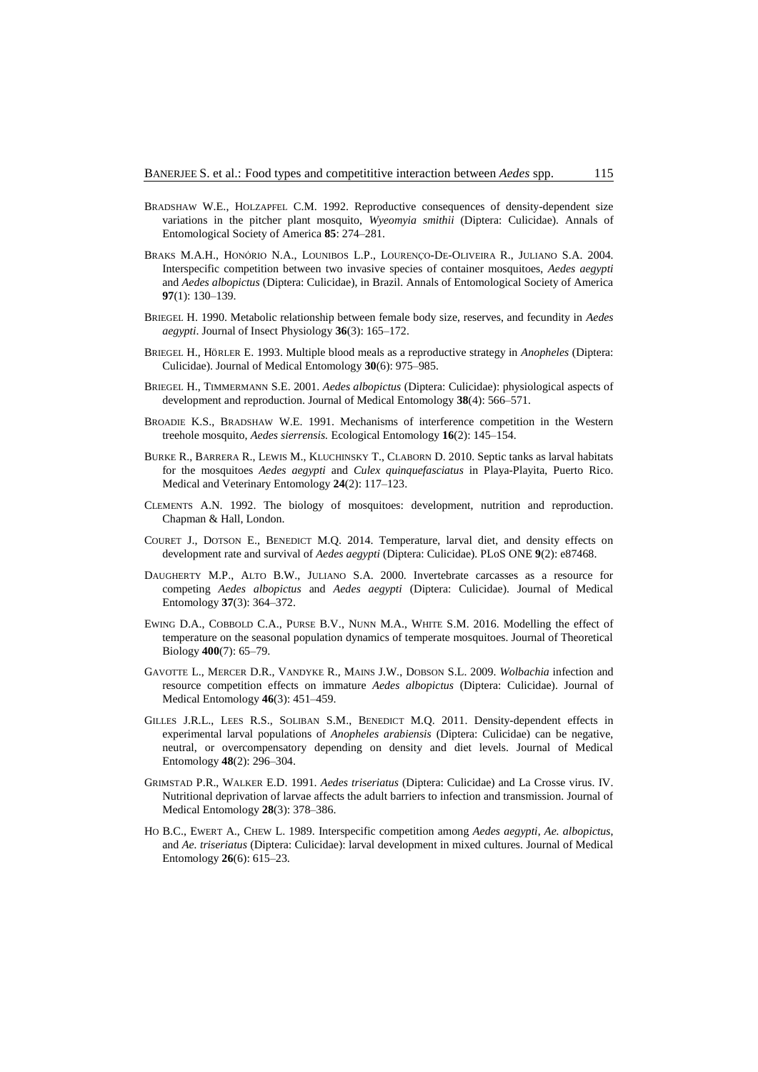- BRADSHAW W.E., HOLZAPFEL C.M. 1992. Reproductive consequences of density-dependent size variations in the pitcher plant mosquito, *Wyeomyia smithii* (Diptera: Culicidae). Annals of Entomological Society of America **85**: 274–281.
- BRAKS M.A.H., HONÓRIO N.A., LOUNIBOS L.P., LOURENÇO-DE-OLIVEIRA R., JULIANO S.A. 2004. Interspecific competition between two invasive species of container mosquitoes, *Aedes aegypti* and *Aedes albopictus* (Diptera: Culicidae), in Brazil. Annals of Entomological Society of America **97**(1): 130–139.
- BRIEGEL H. 1990. Metabolic relationship between female body size, reserves, and fecundity in *Aedes aegypti*. Journal of Insect Physiology **36**(3): 165–172.
- BRIEGEL H., HӦRLER E. 1993. Multiple blood meals as a reproductive strategy in *Anopheles* (Diptera: Culicidae). Journal of Medical Entomology **30**(6): 975–985.
- BRIEGEL H., TIMMERMANN S.E. 2001. *Aedes albopictus* (Diptera: Culicidae): physiological aspects of development and reproduction. Journal of Medical Entomology **38**(4): 566–571.
- BROADIE K.S., BRADSHAW W.E. 1991. Mechanisms of interference competition in the Western treehole mosquito, *Aedes sierrensis.* Ecological Entomology **16**(2): 145–154.
- BURKE R., BARRERA R., LEWIS M., KLUCHINSKY T., CLABORN D. 2010. Septic tanks as larval habitats for the mosquitoes *Aedes aegypti* and *Culex quinquefasciatus* in Playa-Playita, Puerto Rico. Medical and Veterinary Entomology **24**(2): 117–123.
- CLEMENTS A.N. 1992. The biology of mosquitoes: development, nutrition and reproduction. Chapman & Hall, London.
- COURET J., DOTSON E., BENEDICT M.Q. 2014. Temperature, larval diet, and density effects on development rate and survival of *Aedes aegypti* (Diptera: Culicidae). PLoS ONE **9**(2): e87468.
- DAUGHERTY M.P., ALTO B.W., JULIANO S.A. 2000. Invertebrate carcasses as a resource for competing *Aedes albopictus* and *Aedes aegypti* (Diptera: Culicidae). Journal of Medical Entomology **37**(3): 364–372.
- EWING D.A., COBBOLD C.A., PURSE B.V., NUNN M.A., WHITE S.M. 2016. Modelling the effect of temperature on the seasonal population dynamics of temperate mosquitoes. Journal of Theoretical Biology **400**(7): 65–79.
- GAVOTTE L., MERCER D.R., VANDYKE R., MAINS J.W., DOBSON S.L. 2009. *Wolbachia* infection and resource competition effects on immature *Aedes albopictus* (Diptera: Culicidae). Journal of Medical Entomology **46**(3): 451–459.
- GILLES J.R.L., LEES R.S., SOLIBAN S.M., BENEDICT M.Q. 2011. Density-dependent effects in experimental larval populations of *Anopheles arabiensis* (Diptera: Culicidae) can be negative, neutral, or overcompensatory depending on density and diet levels. Journal of Medical Entomology **48**(2): 296–304.
- GRIMSTAD P.R., WALKER E.D. 1991. *Aedes triseriatus* (Diptera: Culicidae) and La Crosse virus. IV. Nutritional deprivation of larvae affects the adult barriers to infection and transmission. Journal of Medical Entomology **28**(3): 378–386.
- HO B.C., EWERT A., CHEW L. 1989. Interspecific competition among *Aedes aegypti*, *Ae. albopictus*, and *Ae. triseriatus* (Diptera: Culicidae): larval development in mixed cultures. Journal of Medical Entomology **26**(6): 615–23.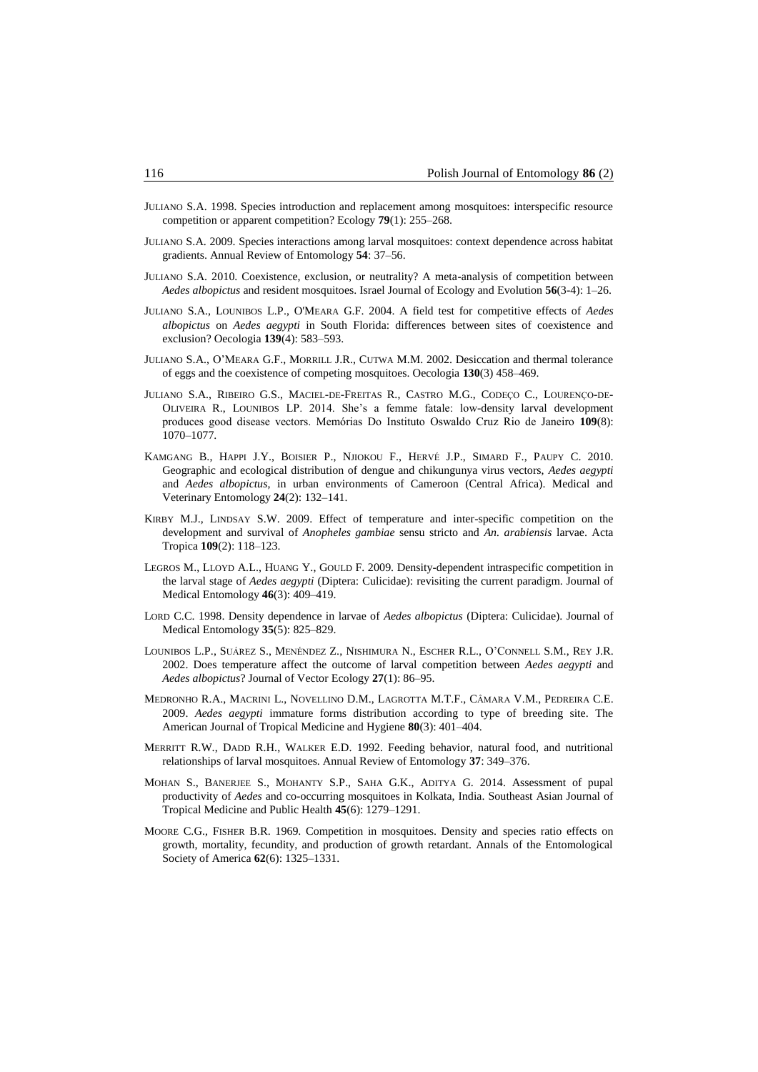- JULIANO S.A. 1998. Species introduction and replacement among mosquitoes: interspecific resource competition or apparent competition? Ecology **79**(1): 255–268.
- JULIANO S.A. 2009. Species interactions among larval mosquitoes: context dependence across habitat gradients. Annual Review of Entomology **54**: 37–56.
- JULIANO S.A. 2010. Coexistence, exclusion, or neutrality? A meta-analysis of competition between *Aedes albopictus* and resident mosquitoes. Israel Journal of Ecology and Evolution **56**(3-4): 1–26.
- JULIANO S.A., LOUNIBOS L.P., O'MEARA G.F. 2004. A field test for competitive effects of *Aedes albopictus* on *Aedes aegypti* in South Florida: differences between sites of coexistence and exclusion? Oecologia **139**(4): 583–593.
- JULIANO S.A., O'MEARA G.F., MORRILL J.R., CUTWA M.M. 2002. Desiccation and thermal tolerance of eggs and the coexistence of competing mosquitoes. Oecologia **130**(3) 458–469.
- JULIANO S.A., RIBEIRO G.S., MACIEL-DE-FREITAS R., CASTRO M.G., CODEÇO C., LOURENÇO-DE-OLIVEIRA R., LOUNIBOS LP. 2014. She's a femme fatale: low-density larval development produces good disease vectors. Memórias Do Instituto Oswaldo Cruz Rio de Janeiro **109**(8): 1070–1077.
- KAMGANG B., HAPPI J.Y., BOISIER P., NJIOKOU F., HERVÉ J.P., SIMARD F., PAUPY C. 2010. Geographic and ecological distribution of dengue and chikungunya virus vectors, *Aedes aegypti* and *Aedes albopictus*, in urban environments of Cameroon (Central Africa). Medical and Veterinary Entomology **24**(2): 132–141.
- KIRBY M.J., LINDSAY S.W. 2009. Effect of temperature and inter-specific competition on the development and survival of *Anopheles gambiae* sensu stricto and *An. arabiensis* larvae. Acta Tropica **109**(2): 118–123.
- LEGROS M., LLOYD A.L., HUANG Y., GOULD F. 2009. Density-dependent intraspecific competition in the larval stage of *Aedes aegypti* (Diptera: Culicidae): revisiting the current paradigm. Journal of Medical Entomology **46**(3): 409–419.
- LORD C.C. 1998. Density dependence in larvae of *Aedes albopictus* (Diptera: Culicidae). Journal of Medical Entomology **35**(5): 825–829.
- LOUNIBOS L.P., SUÁREZ S., MENÉNDEZ Z., NISHIMURA N., ESCHER R.L., O'CONNELL S.M., REY J.R. 2002. Does temperature affect the outcome of larval competition between *Aedes aegypti* and *Aedes albopictus*? Journal of Vector Ecology **27**(1): 86–95.
- MEDRONHO R.A., MACRINI L., NOVELLINO D.M., LAGROTTA M.T.F., CÂMARA V.M., PEDREIRA C.E. 2009. *Aedes aegypti* immature forms distribution according to type of breeding site. The American Journal of Tropical Medicine and Hygiene **80**(3): 401–404.
- MERRITT R.W., DADD R.H., WALKER E.D. 1992. Feeding behavior, natural food, and nutritional relationships of larval mosquitoes. Annual Review of Entomology **37**: 349–376.
- MOHAN S., BANERJEE S., MOHANTY S.P., SAHA G.K., ADITYA G. 2014. Assessment of pupal productivity of *Aedes* and co-occurring mosquitoes in Kolkata, India. Southeast Asian Journal of Tropical Medicine and Public Health **45**(6): 1279–1291.
- MOORE C.G., FISHER B.R. 1969. Competition in mosquitoes. Density and species ratio effects on growth, mortality, fecundity, and production of growth retardant. Annals of the Entomological Society of America **62**(6): 1325–1331.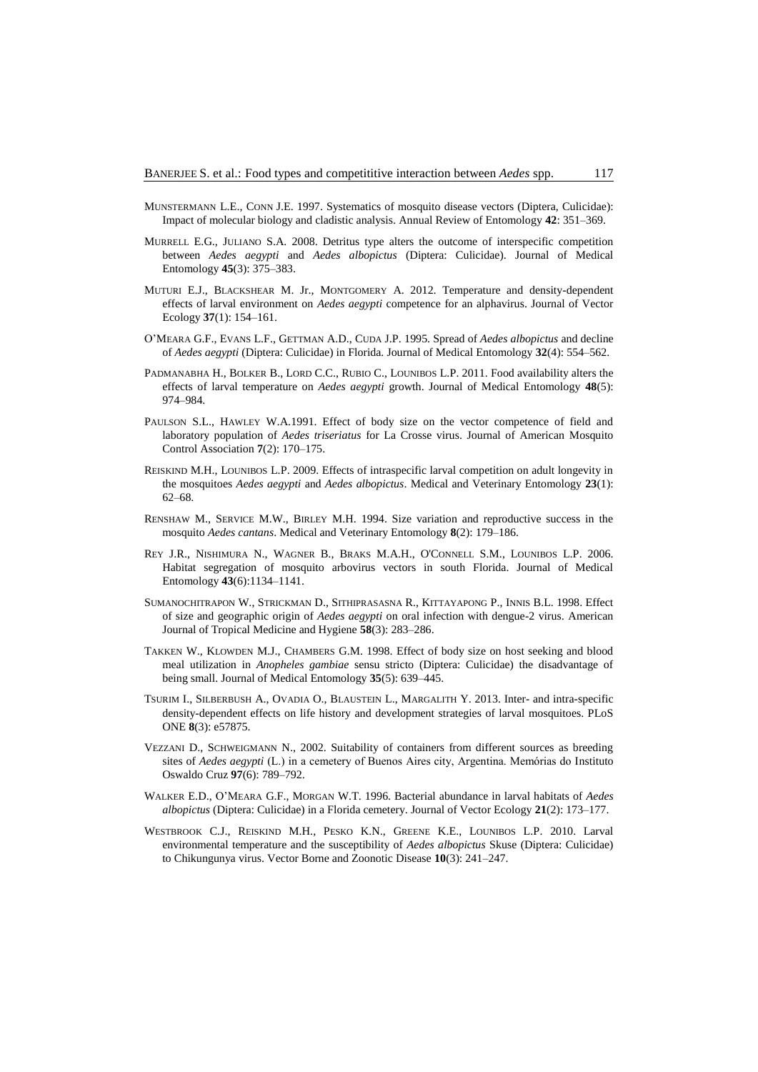- MUNSTERMANN L.E., CONN J.E. 1997. Systematics of mosquito disease vectors (Diptera, Culicidae): Impact of molecular biology and cladistic analysis. Annual Review of Entomology **42**: 351–369.
- MURRELL E.G., JULIANO S.A. 2008. Detritus type alters the outcome of interspecific competition between *Aedes aegypti* and *Aedes albopictus* (Diptera: Culicidae). Journal of Medical Entomology **45**(3): 375–383.
- MUTURI E.J., BLACKSHEAR M. Jr., MONTGOMERY A. 2012. Temperature and density-dependent effects of larval environment on *Aedes aegypti* competence for an alphavirus. Journal of Vector Ecology **37**(1): 154–161.
- O'MEARA G.F., EVANS L.F., GETTMAN A.D., CUDA J.P. 1995. Spread of *Aedes albopictus* and decline of *Aedes aegypti* (Diptera: Culicidae) in Florida. Journal of Medical Entomology **32**(4): 554–562.
- PADMANABHA H., BOLKER B., LORD C.C., RUBIO C., LOUNIBOS L.P. 2011. Food availability alters the effects of larval temperature on *Aedes aegypti* growth. Journal of Medical Entomology **48**(5): 974–984.
- PAULSON S.L., HAWLEY W.A.1991. Effect of body size on the vector competence of field and laboratory population of *Aedes triseriatus* for La Crosse virus. Journal of American Mosquito Control Association **7**(2): 170–175.
- REISKIND M.H., LOUNIBOS L.P. 2009. Effects of intraspecific larval competition on adult longevity in the mosquitoes *Aedes aegypti* and *Aedes albopictus*. Medical and Veterinary Entomology **23**(1): 62–68.
- RENSHAW M., SERVICE M.W., BIRLEY M.H. 1994. Size variation and reproductive success in the mosquito *Aedes cantans*. Medical and Veterinary Entomology **8**(2): 179–186.
- REY J.R., NISHIMURA N., WAGNER B., BRAKS M.A.H., O'CONNELL S.M., LOUNIBOS L.P. 2006. Habitat segregation of mosquito arbovirus vectors in south Florida. Journal of Medical Entomology **43**(6):1134–1141.
- SUMANOCHITRAPON W., STRICKMAN D., SITHIPRASASNA R., KITTAYAPONG P., INNIS B.L. 1998. Effect of size and geographic origin of *Aedes aegypti* on oral infection with dengue-2 virus. American Journal of Tropical Medicine and Hygiene **58**(3): 283–286.
- TAKKEN W., KLOWDEN M.J., CHAMBERS G.M. 1998. Effect of body size on host seeking and blood meal utilization in *Anopheles gambiae* sensu stricto (Diptera: Culicidae) the disadvantage of being small. Journal of Medical Entomology **35**(5): 639–445.
- TSURIM I., SILBERBUSH A., OVADIA O., BLAUSTEIN L., MARGALITH Y. 2013. Inter- and intra-specific density-dependent effects on life history and development strategies of larval mosquitoes. PLoS ONE **8**(3): e57875.
- VEZZANI D., SCHWEIGMANN N., 2002. Suitability of containers from different sources as breeding sites of *Aedes aegypti* (L.) in a cemetery of Buenos Aires city, Argentina. Memórias do Instituto Oswaldo Cruz **97**(6): 789–792.
- WALKER E.D., O'MEARA G.F., MORGAN W.T. 1996. Bacterial abundance in larval habitats of *Aedes albopictus* (Diptera: Culicidae) in a Florida cemetery. Journal of Vector Ecology **21**(2): 173–177.
- WESTBROOK C.J., REISKIND M.H., PESKO K.N., GREENE K.E., LOUNIBOS L.P. 2010. Larval environmental temperature and the susceptibility of *Aedes albopictus* Skuse (Diptera: Culicidae) to Chikungunya virus. Vector Borne and Zoonotic Disease **10**(3): 241–247.